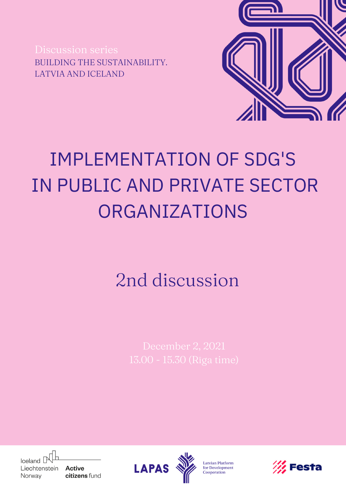Discussion series BUILDING THE SUSTAINABILITY. LATVIA AND ICELAND



## IMPLEMENTATION OF SDG'S IN PUBLIC AND PRIVATE SECTOR ORGANIZATIONS

## 2nd discussion



**Active** citizens fund



Latvian Platform for Development